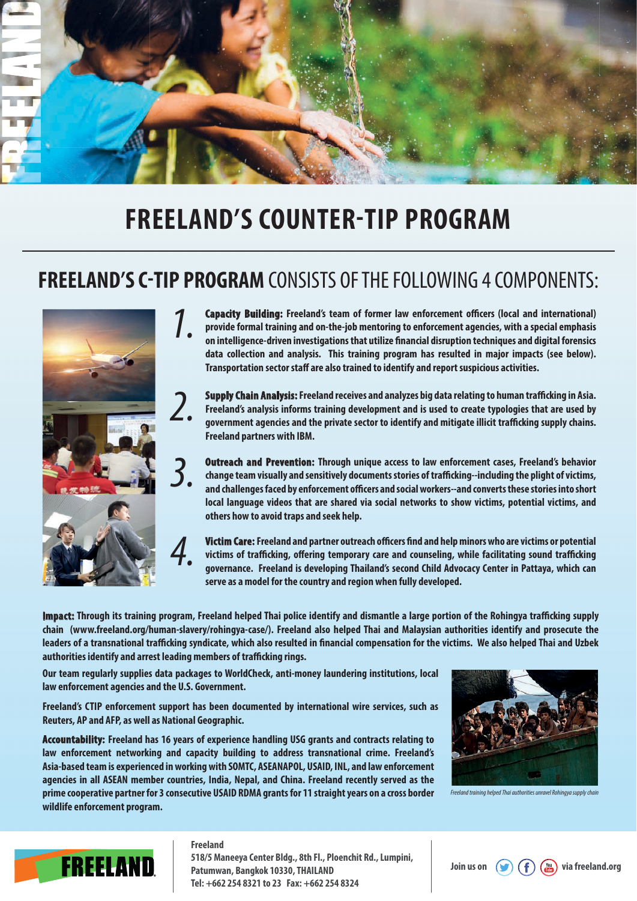

## **FREELAND'S COUNTER-TIP PROGRAM**

## **FREELAND'S C-TIP PROGRAM** CONSISTS OF THE FOLLOWING 4 COMPONENTS:



**Capacity Building: Freeland's team of former law enforcement officers (local and international) provide formal training and on-the-job mentoring to enforcement agencies, with a special emphasis on intelligence-driven investigations that utilize nancial disruption techniques and digital forensics data collection and analysis. This training program has resulted in major impacts (see below). Transportation sector staff are also trained to identify and report suspicious activities.** *1.*

**Supply Chain Analysis: Freeland receives and analyzes big data relating to human trafficking in Asia. Freeland's analysis informs training development and is used to create typologies that are used by**  government agencies and the private sector to identify and mitigate illicit trafficking supply chains. **Freeland partners with IBM.** 

**Outreach and Prevention: Through unique access to law enforcement cases, Freeland's behavior change team visually and sensitively documents stories of tracking--including the plight of victims,**  and challenges faced by enforcement officers and social workers--and converts these stories into short **local language videos that are shared via social networks to show victims, potential victims, and others how to avoid traps and seek help.**

**Victim Care: Freeland and partner outreach officers find and help minors who are victims or potential** victims of trafficking, offering temporary care and counseling, while facilitating sound trafficking **governance. Freeland is developing Thailand's second Child Advocacy Center in Pattaya, which can serve as a model for the country and region when fully developed.** 

**Impact:** Through its training program, Freeland helped Thai police identify and dismantle a large portion of the Rohingya trafficking supply **chain (www.freeland.org/human-slavery/rohingya-case/). Freeland also helped Thai and Malaysian authorities identify and prosecute the**  leaders of a transnational trafficking syndicate, which also resulted in financial compensation for the victims. We also helped Thai and Uzbek authorities identify and arrest leading members of trafficking rings.

**Our team regularly supplies data packages to WorldCheck, anti-money laundering institutions, local law enforcement agencies and the U.S. Government.** 

**Freeland's CTIP enforcement support has been documented by international wire services, such as Reuters, AP and AFP, as well as National Geographic.** 

**Accountability: Freeland has 16 years of experience handling USG grants and contracts relating to law enforcement networking and capacity building to address transnational crime. Freeland's Asia-based team is experienced in working with SOMTC, ASEANAPOL, USAID, INL, and law enforcement agencies in all ASEAN member countries, India, Nepal, and China. Freeland recently served as the prime cooperative partner for 3 consecutive USAID RDMA grants for 11 straight years on a cross border wildlife enforcement program.**



*Freeland training helped Thai authorities unravel Rohingya supply chain* 



## **Freeland**

**518/5 Maneeya Center Bldg., 8th Fl., Ploenchit Rd., Lumpini, Patumwan, Bangkok 10330, THAILAND Tel: +662 254 8321 to 23 Fax: +662 254 8324**